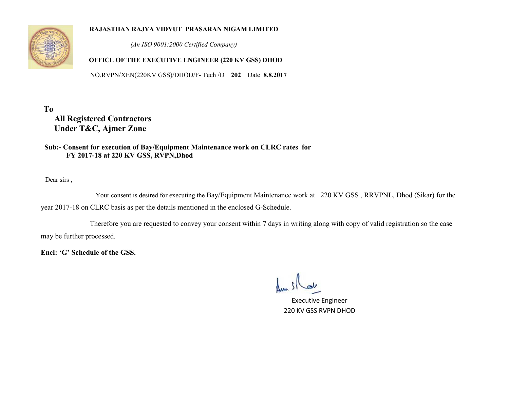

#### **RAJASTHAN RAJYA VIDYUT PRASARAN NIGAM LIMITED**

 *(An ISO 9001:2000 Certified Company)* 

### **OFFICE OF THE EXECUTIVE ENGINEER (220 KV GSS) DHOD**

NO.RVPN/XEN(220KV GSS)/DHOD/F- Tech /D **202** Date **8.8.2017**

**To All Registered Contractors Under T&C, Ajmer Zone** 

 **Sub:- Consent for execution of Bay/Equipment Maintenance work on CLRC rates for FY 2017-18 at 220 KV GSS, RVPN,Dhod** 

Dear sirs ,

 Your consent is desired for executing the Bay/Equipment Maintenance work at 220 KV GSS , RRVPNL, Dhod (Sikar) for the year 2017-18 on CLRC basis as per the details mentioned in the enclosed G-Schedule.

 Therefore you are requested to convey your consent within 7 days in writing along with copy of valid registration so the case may be further processed.

**Encl: 'G' Schedule of the GSS.** 

Executive Engineer 220 KV GSS RVPN DHOD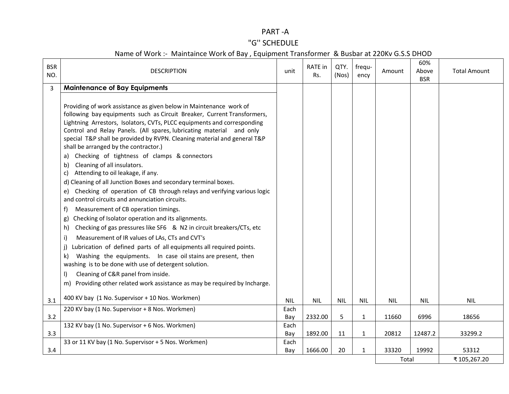## PART -A

# "G'' SCHEDULE

| <b>BSR</b><br>NO.                                       | <b>DESCRIPTION</b>                                                                                                                                                                                                                                                                                                                                                                                                                                                                                                                                                                                                                                                                                                                                                                                                                                                                                                                                                                                                                                                                                                                                                                                            | unit       | <b>RATE</b> in<br>Rs. | QTY.<br>(Nos) | frequ-<br>ency | Amount     | 60%<br>Above<br><b>BSR</b> | <b>Total Amount</b> |
|---------------------------------------------------------|---------------------------------------------------------------------------------------------------------------------------------------------------------------------------------------------------------------------------------------------------------------------------------------------------------------------------------------------------------------------------------------------------------------------------------------------------------------------------------------------------------------------------------------------------------------------------------------------------------------------------------------------------------------------------------------------------------------------------------------------------------------------------------------------------------------------------------------------------------------------------------------------------------------------------------------------------------------------------------------------------------------------------------------------------------------------------------------------------------------------------------------------------------------------------------------------------------------|------------|-----------------------|---------------|----------------|------------|----------------------------|---------------------|
| $\overline{3}$                                          | <b>Maintenance of Bay Equipments</b>                                                                                                                                                                                                                                                                                                                                                                                                                                                                                                                                                                                                                                                                                                                                                                                                                                                                                                                                                                                                                                                                                                                                                                          |            |                       |               |                |            |                            |                     |
| b)<br>C)<br>f)<br>g)<br>h)<br>i)<br>j)<br>k)<br>$\vert$ | Providing of work assistance as given below in Maintenance work of<br>following bay equipments such as Circuit Breaker, Current Transformers,<br>Lightning Arrestors, Isolators, CVTs, PLCC equipments and corresponding<br>Control and Relay Panels. (All spares, lubricating material and only<br>special T&P shall be provided by RVPN. Cleaning material and general T&P<br>shall be arranged by the contractor.)<br>a) Checking of tightness of clamps & connectors<br>Cleaning of all insulators.<br>Attending to oil leakage, if any.<br>d) Cleaning of all Junction Boxes and secondary terminal boxes.<br>e) Checking of operation of CB through relays and verifying various logic<br>and control circuits and annunciation circuits.<br>Measurement of CB operation timings.<br>Checking of Isolator operation and its alignments.<br>Checking of gas pressures like SF6 & N2 in circuit breakers/CTs, etc<br>Measurement of IR values of LAs, CTs and CVT's<br>Lubrication of defined parts of all equipments all required points.<br>Washing the equipments. In case oil stains are present, then<br>washing is to be done with use of detergent solution.<br>Cleaning of C&R panel from inside. |            |                       |               |                |            |                            |                     |
|                                                         | m) Providing other related work assistance as may be required by Incharge.                                                                                                                                                                                                                                                                                                                                                                                                                                                                                                                                                                                                                                                                                                                                                                                                                                                                                                                                                                                                                                                                                                                                    |            |                       |               |                |            |                            |                     |
|                                                         |                                                                                                                                                                                                                                                                                                                                                                                                                                                                                                                                                                                                                                                                                                                                                                                                                                                                                                                                                                                                                                                                                                                                                                                                               |            |                       |               |                |            |                            |                     |
| 3.1                                                     | 400 KV bay (1 No. Supervisor + 10 Nos. Workmen)                                                                                                                                                                                                                                                                                                                                                                                                                                                                                                                                                                                                                                                                                                                                                                                                                                                                                                                                                                                                                                                                                                                                                               | <b>NIL</b> | <b>NIL</b>            | <b>NIL</b>    | <b>NIL</b>     | <b>NIL</b> | <b>NIL</b>                 | <b>NIL</b>          |
|                                                         | 220 KV bay (1 No. Supervisor + 8 Nos. Workmen)                                                                                                                                                                                                                                                                                                                                                                                                                                                                                                                                                                                                                                                                                                                                                                                                                                                                                                                                                                                                                                                                                                                                                                | Each       |                       |               |                |            |                            |                     |
| 3.2                                                     |                                                                                                                                                                                                                                                                                                                                                                                                                                                                                                                                                                                                                                                                                                                                                                                                                                                                                                                                                                                                                                                                                                                                                                                                               | Bay        | 2332.00               | 5             | 1              | 11660      | 6996                       | 18656               |
|                                                         | 132 KV bay (1 No. Supervisor + 6 Nos. Workmen)                                                                                                                                                                                                                                                                                                                                                                                                                                                                                                                                                                                                                                                                                                                                                                                                                                                                                                                                                                                                                                                                                                                                                                | Each       |                       |               |                |            |                            |                     |
| 3.3                                                     |                                                                                                                                                                                                                                                                                                                                                                                                                                                                                                                                                                                                                                                                                                                                                                                                                                                                                                                                                                                                                                                                                                                                                                                                               | Bay        | 1892.00               | 11            | $\mathbf{1}$   | 20812      | 12487.2                    | 33299.2             |
| 3.4                                                     | 33 or 11 KV bay (1 No. Supervisor + 5 Nos. Workmen)                                                                                                                                                                                                                                                                                                                                                                                                                                                                                                                                                                                                                                                                                                                                                                                                                                                                                                                                                                                                                                                                                                                                                           | Each       | 1666.00               | 20            |                | 33320      | 19992                      | 53312               |
|                                                         |                                                                                                                                                                                                                                                                                                                                                                                                                                                                                                                                                                                                                                                                                                                                                                                                                                                                                                                                                                                                                                                                                                                                                                                                               | Bay        |                       |               | 1              | Total      |                            | ₹105,267.20         |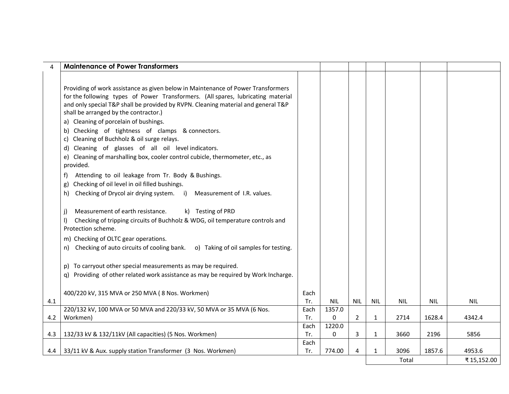| Providing of work assistance as given below in Maintenance of Power Transformers<br>for the following types of Power Transformers. (All spares, lubricating material<br>and only special T&P shall be provided by RVPN. Cleaning material and general T&P<br>shall be arranged by the contractor.)<br>a) Cleaning of porcelain of bushings.<br>b) Checking of tightness of clamps & connectors.<br>c) Cleaning of Buchholz & oil surge relays.<br>d) Cleaning of glasses of all oil level indicators.<br>e) Cleaning of marshalling box, cooler control cubicle, thermometer, etc., as<br>provided.<br>Attending to oil leakage from Tr. Body & Bushings.<br>Checking of oil level in oil filled bushings.<br>g)<br>Checking of Drycol air drying system. i)<br>Measurement of I.R. values.<br>h)<br>Measurement of earth resistance.<br>k) Testing of PRD<br>Checking of tripping circuits of Buchholz & WDG, oil temperature controls and<br>I)<br>Protection scheme.<br>m) Checking of OLTC gear operations.<br>n) Checking of auto circuits of cooling bank. o) Taking of oil samples for testing.<br>p) To carryout other special measurements as may be required.<br>q) Providing of other related work assistance as may be required by Work Incharge.<br>400/220 kV, 315 MVA or 250 MVA (8 Nos. Workmen)<br>Each<br>Tr.<br><b>NIL</b><br><b>NIL</b><br><b>NIL</b><br>4.1<br><b>NIL</b><br><b>NIL</b><br><b>NIL</b><br>220/132 kV, 100 MVA or 50 MVA and 220/33 kV, 50 MVA or 35 MVA (6 Nos.<br>1357.0<br>Each<br>Workmen)<br>0<br>4342.4<br>4.2<br>Tr.<br>$\overline{2}$<br>2714<br>1628.4<br>$\mathbf{1}$ | <b>Maintenance of Power Transformers</b> |      |        |  |  |  |
|--------------------------------------------------------------------------------------------------------------------------------------------------------------------------------------------------------------------------------------------------------------------------------------------------------------------------------------------------------------------------------------------------------------------------------------------------------------------------------------------------------------------------------------------------------------------------------------------------------------------------------------------------------------------------------------------------------------------------------------------------------------------------------------------------------------------------------------------------------------------------------------------------------------------------------------------------------------------------------------------------------------------------------------------------------------------------------------------------------------------------------------------------------------------------------------------------------------------------------------------------------------------------------------------------------------------------------------------------------------------------------------------------------------------------------------------------------------------------------------------------------------------------------------------------------------------------------------------------------------------|------------------------------------------|------|--------|--|--|--|
|                                                                                                                                                                                                                                                                                                                                                                                                                                                                                                                                                                                                                                                                                                                                                                                                                                                                                                                                                                                                                                                                                                                                                                                                                                                                                                                                                                                                                                                                                                                                                                                                                    |                                          |      |        |  |  |  |
|                                                                                                                                                                                                                                                                                                                                                                                                                                                                                                                                                                                                                                                                                                                                                                                                                                                                                                                                                                                                                                                                                                                                                                                                                                                                                                                                                                                                                                                                                                                                                                                                                    |                                          |      |        |  |  |  |
|                                                                                                                                                                                                                                                                                                                                                                                                                                                                                                                                                                                                                                                                                                                                                                                                                                                                                                                                                                                                                                                                                                                                                                                                                                                                                                                                                                                                                                                                                                                                                                                                                    |                                          |      |        |  |  |  |
|                                                                                                                                                                                                                                                                                                                                                                                                                                                                                                                                                                                                                                                                                                                                                                                                                                                                                                                                                                                                                                                                                                                                                                                                                                                                                                                                                                                                                                                                                                                                                                                                                    |                                          |      |        |  |  |  |
|                                                                                                                                                                                                                                                                                                                                                                                                                                                                                                                                                                                                                                                                                                                                                                                                                                                                                                                                                                                                                                                                                                                                                                                                                                                                                                                                                                                                                                                                                                                                                                                                                    |                                          |      |        |  |  |  |
|                                                                                                                                                                                                                                                                                                                                                                                                                                                                                                                                                                                                                                                                                                                                                                                                                                                                                                                                                                                                                                                                                                                                                                                                                                                                                                                                                                                                                                                                                                                                                                                                                    |                                          |      |        |  |  |  |
|                                                                                                                                                                                                                                                                                                                                                                                                                                                                                                                                                                                                                                                                                                                                                                                                                                                                                                                                                                                                                                                                                                                                                                                                                                                                                                                                                                                                                                                                                                                                                                                                                    |                                          |      |        |  |  |  |
|                                                                                                                                                                                                                                                                                                                                                                                                                                                                                                                                                                                                                                                                                                                                                                                                                                                                                                                                                                                                                                                                                                                                                                                                                                                                                                                                                                                                                                                                                                                                                                                                                    |                                          |      |        |  |  |  |
|                                                                                                                                                                                                                                                                                                                                                                                                                                                                                                                                                                                                                                                                                                                                                                                                                                                                                                                                                                                                                                                                                                                                                                                                                                                                                                                                                                                                                                                                                                                                                                                                                    |                                          |      |        |  |  |  |
|                                                                                                                                                                                                                                                                                                                                                                                                                                                                                                                                                                                                                                                                                                                                                                                                                                                                                                                                                                                                                                                                                                                                                                                                                                                                                                                                                                                                                                                                                                                                                                                                                    |                                          |      |        |  |  |  |
|                                                                                                                                                                                                                                                                                                                                                                                                                                                                                                                                                                                                                                                                                                                                                                                                                                                                                                                                                                                                                                                                                                                                                                                                                                                                                                                                                                                                                                                                                                                                                                                                                    |                                          |      |        |  |  |  |
|                                                                                                                                                                                                                                                                                                                                                                                                                                                                                                                                                                                                                                                                                                                                                                                                                                                                                                                                                                                                                                                                                                                                                                                                                                                                                                                                                                                                                                                                                                                                                                                                                    |                                          |      |        |  |  |  |
|                                                                                                                                                                                                                                                                                                                                                                                                                                                                                                                                                                                                                                                                                                                                                                                                                                                                                                                                                                                                                                                                                                                                                                                                                                                                                                                                                                                                                                                                                                                                                                                                                    |                                          |      |        |  |  |  |
|                                                                                                                                                                                                                                                                                                                                                                                                                                                                                                                                                                                                                                                                                                                                                                                                                                                                                                                                                                                                                                                                                                                                                                                                                                                                                                                                                                                                                                                                                                                                                                                                                    |                                          |      |        |  |  |  |
|                                                                                                                                                                                                                                                                                                                                                                                                                                                                                                                                                                                                                                                                                                                                                                                                                                                                                                                                                                                                                                                                                                                                                                                                                                                                                                                                                                                                                                                                                                                                                                                                                    |                                          |      |        |  |  |  |
|                                                                                                                                                                                                                                                                                                                                                                                                                                                                                                                                                                                                                                                                                                                                                                                                                                                                                                                                                                                                                                                                                                                                                                                                                                                                                                                                                                                                                                                                                                                                                                                                                    |                                          |      |        |  |  |  |
|                                                                                                                                                                                                                                                                                                                                                                                                                                                                                                                                                                                                                                                                                                                                                                                                                                                                                                                                                                                                                                                                                                                                                                                                                                                                                                                                                                                                                                                                                                                                                                                                                    |                                          |      |        |  |  |  |
|                                                                                                                                                                                                                                                                                                                                                                                                                                                                                                                                                                                                                                                                                                                                                                                                                                                                                                                                                                                                                                                                                                                                                                                                                                                                                                                                                                                                                                                                                                                                                                                                                    |                                          |      |        |  |  |  |
|                                                                                                                                                                                                                                                                                                                                                                                                                                                                                                                                                                                                                                                                                                                                                                                                                                                                                                                                                                                                                                                                                                                                                                                                                                                                                                                                                                                                                                                                                                                                                                                                                    |                                          |      |        |  |  |  |
|                                                                                                                                                                                                                                                                                                                                                                                                                                                                                                                                                                                                                                                                                                                                                                                                                                                                                                                                                                                                                                                                                                                                                                                                                                                                                                                                                                                                                                                                                                                                                                                                                    |                                          |      |        |  |  |  |
|                                                                                                                                                                                                                                                                                                                                                                                                                                                                                                                                                                                                                                                                                                                                                                                                                                                                                                                                                                                                                                                                                                                                                                                                                                                                                                                                                                                                                                                                                                                                                                                                                    |                                          |      |        |  |  |  |
|                                                                                                                                                                                                                                                                                                                                                                                                                                                                                                                                                                                                                                                                                                                                                                                                                                                                                                                                                                                                                                                                                                                                                                                                                                                                                                                                                                                                                                                                                                                                                                                                                    |                                          |      |        |  |  |  |
|                                                                                                                                                                                                                                                                                                                                                                                                                                                                                                                                                                                                                                                                                                                                                                                                                                                                                                                                                                                                                                                                                                                                                                                                                                                                                                                                                                                                                                                                                                                                                                                                                    |                                          |      |        |  |  |  |
|                                                                                                                                                                                                                                                                                                                                                                                                                                                                                                                                                                                                                                                                                                                                                                                                                                                                                                                                                                                                                                                                                                                                                                                                                                                                                                                                                                                                                                                                                                                                                                                                                    |                                          |      |        |  |  |  |
|                                                                                                                                                                                                                                                                                                                                                                                                                                                                                                                                                                                                                                                                                                                                                                                                                                                                                                                                                                                                                                                                                                                                                                                                                                                                                                                                                                                                                                                                                                                                                                                                                    |                                          |      |        |  |  |  |
|                                                                                                                                                                                                                                                                                                                                                                                                                                                                                                                                                                                                                                                                                                                                                                                                                                                                                                                                                                                                                                                                                                                                                                                                                                                                                                                                                                                                                                                                                                                                                                                                                    |                                          |      |        |  |  |  |
|                                                                                                                                                                                                                                                                                                                                                                                                                                                                                                                                                                                                                                                                                                                                                                                                                                                                                                                                                                                                                                                                                                                                                                                                                                                                                                                                                                                                                                                                                                                                                                                                                    |                                          | Each | 1220.0 |  |  |  |
| 132/33 kV & 132/11kV (All capacities) (5 Nos. Workmen)<br>Tr.<br>0<br>5856<br>4.3<br>3<br>3660<br>2196<br>1                                                                                                                                                                                                                                                                                                                                                                                                                                                                                                                                                                                                                                                                                                                                                                                                                                                                                                                                                                                                                                                                                                                                                                                                                                                                                                                                                                                                                                                                                                        |                                          |      |        |  |  |  |
| Each                                                                                                                                                                                                                                                                                                                                                                                                                                                                                                                                                                                                                                                                                                                                                                                                                                                                                                                                                                                                                                                                                                                                                                                                                                                                                                                                                                                                                                                                                                                                                                                                               |                                          |      |        |  |  |  |
| 33/11 kV & Aux. supply station Transformer (3 Nos. Workmen)<br>774.00<br>1857.6<br>4953.6<br>4.4<br>Tr.<br>4<br>3096<br>1<br>₹15,152.00<br>Total                                                                                                                                                                                                                                                                                                                                                                                                                                                                                                                                                                                                                                                                                                                                                                                                                                                                                                                                                                                                                                                                                                                                                                                                                                                                                                                                                                                                                                                                   |                                          |      |        |  |  |  |